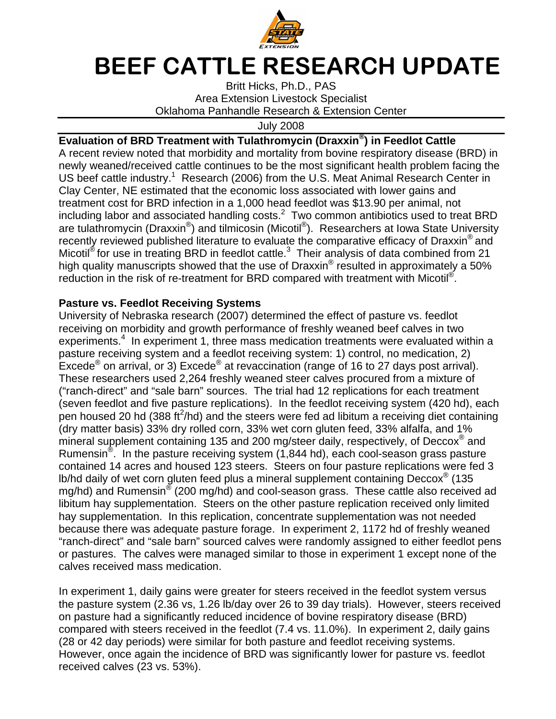

## BEEF CATTLE RESEARCH UPDATE

Britt Hicks, Ph.D., PAS Area Extension Livestock Specialist Oklahoma Panhandle Research & Extension Center

July 2008

## **Evaluation of BRD Treatment with Tulathromycin (Draxxin® ) in Feedlot Cattle**

A recent review noted that morbidity and mortality from bovine respiratory disease (BRD) in newly weaned/received cattle continues to be the most significant health problem facing the US beef cattle industry.<sup>1</sup> Research (2006) from the U.S. Meat Animal Research Center in Clay Center, NE estimated that the economic loss associated with lower gains and treatment cost for BRD infection in a 1,000 head feedlot was \$13.90 per animal, not including labor and associated handling costs. $^2$  Two common antibiotics used to treat BRD are tulathromycin (Draxxin®) and tilmicosin (Micotil®). Researchers at Iowa State University recently reviewed published literature to evaluate the comparative efficacy of Draxxin<sup>®</sup> and Micotil<sup>®</sup> for use in treating BRD in feedlot cattle.<sup>3</sup> Their analysis of data combined from 21 high quality manuscripts showed that the use of Draxxin® resulted in approximately a 50% reduction in the risk of re-treatment for BRD compared with treatment with Micotil<sup>®</sup>.

## **Pasture vs. Feedlot Receiving Systems**

University of Nebraska research (2007) determined the effect of pasture vs. feedlot receiving on morbidity and growth performance of freshly weaned beef calves in two experiments.<sup>4</sup> In experiment 1, three mass medication treatments were evaluated within a pasture receiving system and a feedlot receiving system: 1) control, no medication, 2) Excede<sup>®</sup> on arrival, or 3) Excede<sup>®</sup> at revaccination (range of 16 to 27 days post arrival). These researchers used 2,264 freshly weaned steer calves procured from a mixture of ("ranch-direct" and "sale barn" sources. The trial had 12 replications for each treatment (seven feedlot and five pasture replications). In the feedlot receiving system (420 hd), each pen housed 20 hd (388 ft<sup>2</sup>/hd) and the steers were fed ad libitum a receiving diet containing (dry matter basis) 33% dry rolled corn, 33% wet corn gluten feed, 33% alfalfa, and 1% mineral supplement containing 135 and 200 mg/steer daily, respectively, of Deccox<sup>®</sup> and Rumensin<sup>®</sup>. In the pasture receiving system (1,844 hd), each cool-season grass pasture contained 14 acres and housed 123 steers. Steers on four pasture replications were fed 3 lb/hd daily of wet corn gluten feed plus a mineral supplement containing Deccox® (135 mg/hd) and Rumensin® (200 mg/hd) and cool-season grass. These cattle also received ad libitum hay supplementation. Steers on the other pasture replication received only limited hay supplementation. In this replication, concentrate supplementation was not needed because there was adequate pasture forage. In experiment 2, 1172 hd of freshly weaned "ranch-direct" and "sale barn" sourced calves were randomly assigned to either feedlot pens or pastures. The calves were managed similar to those in experiment 1 except none of the calves received mass medication.

In experiment 1, daily gains were greater for steers received in the feedlot system versus the pasture system (2.36 vs, 1.26 lb/day over 26 to 39 day trials). However, steers received on pasture had a significantly reduced incidence of bovine respiratory disease (BRD) compared with steers received in the feedlot (7.4 vs. 11.0%). In experiment 2, daily gains (28 or 42 day periods) were similar for both pasture and feedlot receiving systems. However, once again the incidence of BRD was significantly lower for pasture vs. feedlot received calves (23 vs. 53%).